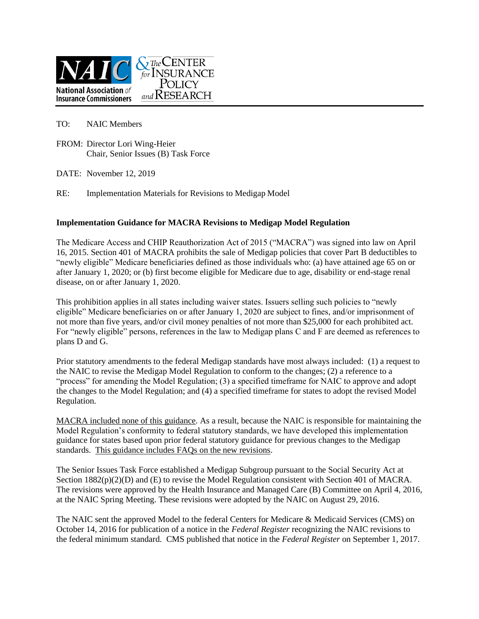

#### TO: NAIC Members

FROM: Director Lori Wing-Heier Chair, Senior Issues (B) Task Force

DATE: November 12, 2019

RE: Implementation Materials for Revisions to Medigap Model

#### **Implementation Guidance for MACRA Revisions to Medigap Model Regulation**

The Medicare Access and CHIP Reauthorization Act of 2015 ("MACRA") was signed into law on April 16, 2015. Section 401 of MACRA prohibits the sale of Medigap policies that cover Part B deductibles to "newly eligible" Medicare beneficiaries defined as those individuals who: (a) have attained age 65 on or after January 1, 2020; or (b) first become eligible for Medicare due to age, disability or end-stage renal disease, on or after January 1, 2020.

This prohibition applies in all states including waiver states. Issuers selling such policies to "newly eligible" Medicare beneficiaries on or after January 1, 2020 are subject to fines, and/or imprisonment of not more than five years, and/or civil money penalties of not more than \$25,000 for each prohibited act. For "newly eligible" persons, references in the law to Medigap plans C and F are deemed as references to plans D and G.

Prior statutory amendments to the federal Medigap standards have most always included: (1) a request to the NAIC to revise the Medigap Model Regulation to conform to the changes; (2) a reference to a "process" for amending the Model Regulation; (3) a specified timeframe for NAIC to approve and adopt the changes to the Model Regulation; and (4) a specified timeframe for states to adopt the revised Model Regulation.

MACRA included none of this guidance. As a result, because the NAIC is responsible for maintaining the Model Regulation's conformity to federal statutory standards, we have developed this implementation guidance for states based upon prior federal statutory guidance for previous changes to the Medigap standards. This guidance includes FAQs on the new revisions.

The Senior Issues Task Force established a Medigap Subgroup pursuant to the Social Security Act at Section 1882(p)(2)(D) and (E) to revise the Model Regulation consistent with Section 401 of MACRA. The revisions were approved by the Health Insurance and Managed Care (B) Committee on April 4, 2016, at the NAIC Spring Meeting. These revisions were adopted by the NAIC on August 29, 2016.

The NAIC sent the approved Model to the federal Centers for Medicare & Medicaid Services (CMS) on October 14, 2016 for publication of a notice in the *Federal Register* recognizing the NAIC revisions to the federal minimum standard. CMS published that notice in the *Federal Register* on September 1, 2017.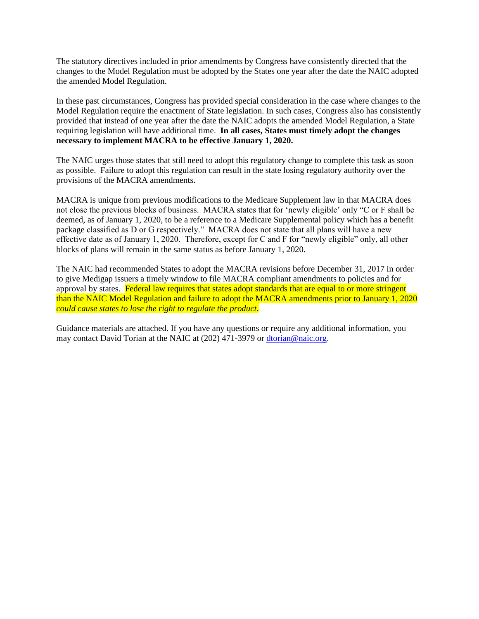The statutory directives included in prior amendments by Congress have consistently directed that the changes to the Model Regulation must be adopted by the States one year after the date the NAIC adopted the amended Model Regulation.

In these past circumstances, Congress has provided special consideration in the case where changes to the Model Regulation require the enactment of State legislation. In such cases, Congress also has consistently provided that instead of one year after the date the NAIC adopts the amended Model Regulation, a State requiring legislation will have additional time. **In all cases, States must timely adopt the changes necessary to implement MACRA to be effective January 1, 2020.**

The NAIC urges those states that still need to adopt this regulatory change to complete this task as soon as possible. Failure to adopt this regulation can result in the state losing regulatory authority over the provisions of the MACRA amendments.

MACRA is unique from previous modifications to the Medicare Supplement law in that MACRA does not close the previous blocks of business. MACRA states that for 'newly eligible' only "C or F shall be deemed, as of January 1, 2020, to be a reference to a Medicare Supplemental policy which has a benefit package classified as D or G respectively." MACRA does not state that all plans will have a new effective date as of January 1, 2020. Therefore, except for C and F for "newly eligible" only, all other blocks of plans will remain in the same status as before January 1, 2020.

The NAIC had recommended States to adopt the MACRA revisions before December 31, 2017 in order to give Medigap issuers a timely window to file MACRA compliant amendments to policies and for approval by states. Federal law requires that states adopt standards that are equal to or more stringent than the NAIC Model Regulation and failure to adopt the MACRA amendments prior to January 1, 2020 *could cause states to lose the right to regulate the product*.

Guidance materials are attached. If you have any questions or require any additional information, you may contact David Torian at the NAIC at (202) 471-3979 or [dtorian@naic.org.](mailto:dtorian@naic.org)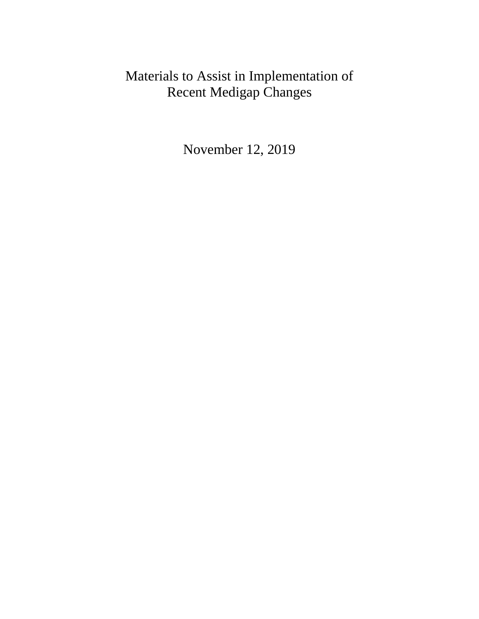# Materials to Assist in Implementation of Recent Medigap Changes

November 12, 2019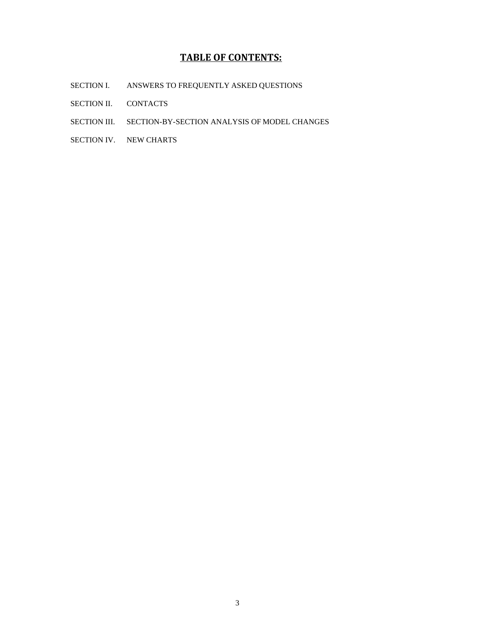## **TABLE OF CONTENTS:**

- SECTION I. ANSWERS TO FREQUENTLY ASKED QUESTIONS
- SECTION II. CONTACTS
- SECTION III. SECTION-BY-SECTION ANALYSIS OF MODEL CHANGES
- SECTION IV. NEW CHARTS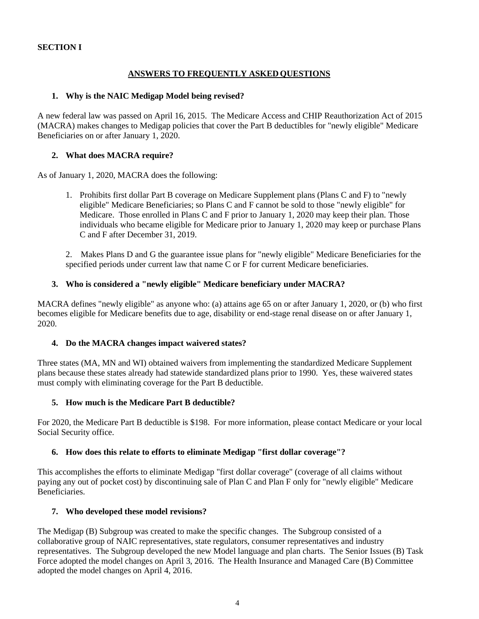## **ANSWERS TO FREQUENTLY ASKEDQUESTIONS**

#### **1. Why is the NAIC Medigap Model being revised?**

A new federal law was passed on April 16, 2015. The Medicare Access and CHIP Reauthorization Act of 2015 (MACRA) makes changes to Medigap policies that cover the Part B deductibles for "newly eligible" Medicare Beneficiaries on or after January 1, 2020.

## **2. What does MACRA require?**

As of January 1, 2020, MACRA does the following:

- 1. Prohibits first dollar Part B coverage on Medicare Supplement plans (Plans C and F) to "newly eligible" Medicare Beneficiaries; so Plans C and F cannot be sold to those "newly eligible" for Medicare. Those enrolled in Plans C and F prior to January 1, 2020 may keep their plan. Those individuals who became eligible for Medicare prior to January 1, 2020 may keep or purchase Plans C and F after December 31, 2019.
- 2. Makes Plans D and G the guarantee issue plans for "newly eligible" Medicare Beneficiaries for the specified periods under current law that name C or F for current Medicare beneficiaries.

## **3. Who is considered a "newly eligible" Medicare beneficiary under MACRA?**

MACRA defines "newly eligible" as anyone who: (a) attains age 65 on or after January 1, 2020, or (b) who first becomes eligible for Medicare benefits due to age, disability or end-stage renal disease on or after January 1, 2020.

#### **4. Do the MACRA changes impact waivered states?**

Three states (MA, MN and WI) obtained waivers from implementing the standardized Medicare Supplement plans because these states already had statewide standardized plans prior to 1990. Yes, these waivered states must comply with eliminating coverage for the Part B deductible.

## **5. How much is the Medicare Part B deductible?**

For 2020, the Medicare Part B deductible is \$198. For more information, please contact Medicare or your local Social Security office.

## **6. How does this relate to efforts to eliminate Medigap "first dollar coverage"?**

This accomplishes the efforts to eliminate Medigap "first dollar coverage" (coverage of all claims without paying any out of pocket cost) by discontinuing sale of Plan C and Plan F only for "newly eligible" Medicare Beneficiaries.

## **7. Who developed these model revisions?**

The Medigap (B) Subgroup was created to make the specific changes. The Subgroup consisted of a collaborative group of NAIC representatives, state regulators, consumer representatives and industry representatives. The Subgroup developed the new Model language and plan charts. The Senior Issues (B) Task Force adopted the model changes on April 3, 2016. The Health Insurance and Managed Care (B) Committee adopted the model changes on April 4, 2016.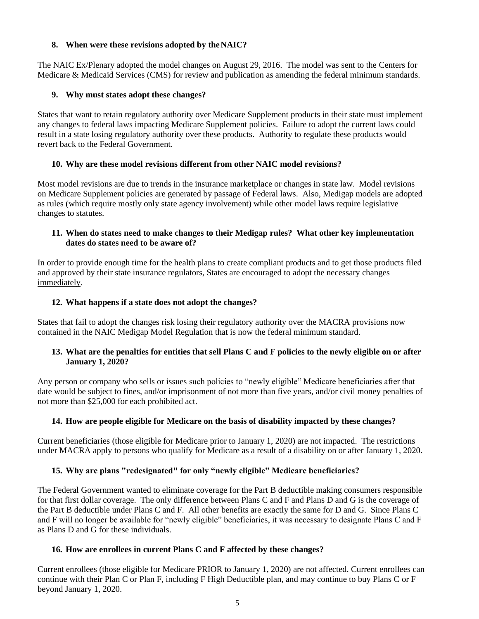## **8. When were these revisions adopted by theNAIC?**

The NAIC Ex/Plenary adopted the model changes on August 29, 2016. The model was sent to the Centers for Medicare & Medicaid Services (CMS) for review and publication as amending the federal minimum standards.

#### **9. Why must states adopt these changes?**

States that want to retain regulatory authority over Medicare Supplement products in their state must implement any changes to federal laws impacting Medicare Supplement policies. Failure to adopt the current laws could result in a state losing regulatory authority over these products. Authority to regulate these products would revert back to the Federal Government.

#### **10. Why are these model revisions different from other NAIC model revisions?**

Most model revisions are due to trends in the insurance marketplace or changes in state law. Model revisions on Medicare Supplement policies are generated by passage of Federal laws. Also, Medigap models are adopted as rules (which require mostly only state agency involvement) while other model laws require legislative changes to statutes.

### **11. When do states need to make changes to their Medigap rules? What other key implementation dates do states need to be aware of?**

In order to provide enough time for the health plans to create compliant products and to get those products filed and approved by their state insurance regulators, States are encouraged to adopt the necessary changes immediately.

## **12. What happens if a state does not adopt the changes?**

States that fail to adopt the changes risk losing their regulatory authority over the MACRA provisions now contained in the NAIC Medigap Model Regulation that is now the federal minimum standard.

## **13. What are the penalties for entities that sell Plans C and F policies to the newly eligible on or after January 1, 2020?**

Any person or company who sells or issues such policies to "newly eligible" Medicare beneficiaries after that date would be subject to fines, and/or imprisonment of not more than five years, and/or civil money penalties of not more than \$25,000 for each prohibited act.

#### **14. How are people eligible for Medicare on the basis of disability impacted by these changes?**

Current beneficiaries (those eligible for Medicare prior to January 1, 2020) are not impacted. The restrictions under MACRA apply to persons who qualify for Medicare as a result of a disability on or after January 1, 2020.

## **15. Why are plans "redesignated" for only "newly eligible" Medicare beneficiaries?**

The Federal Government wanted to eliminate coverage for the Part B deductible making consumers responsible for that first dollar coverage. The only difference between Plans C and F and Plans D and G is the coverage of the Part B deductible under Plans C and F. All other benefits are exactly the same for D and G. Since Plans C and F will no longer be available for "newly eligible" beneficiaries, it was necessary to designate Plans C and F as Plans D and G for these individuals.

#### **16. How are enrollees in current Plans C and F affected by these changes?**

Current enrollees (those eligible for Medicare PRIOR to January 1, 2020) are not affected. Current enrollees can continue with their Plan C or Plan F, including F High Deductible plan, and may continue to buy Plans C or F beyond January 1, 2020.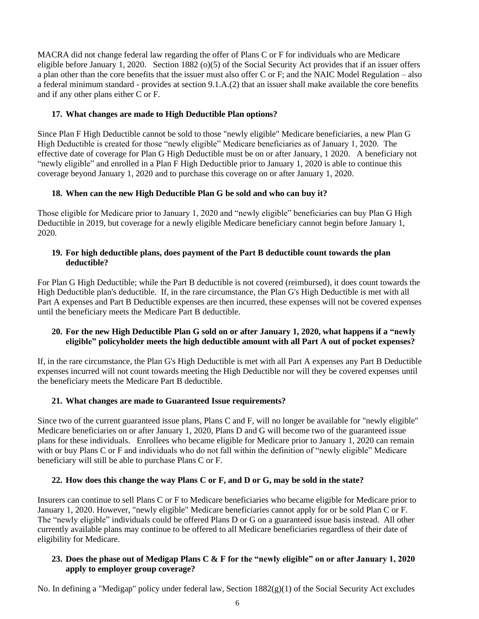MACRA did not change federal law regarding the offer of Plans C or F for individuals who are Medicare eligible before January 1, 2020. Section 1882 (o)(5) of the Social Security Act provides that if an issuer offers a plan other than the core benefits that the issuer must also offer C or F; and the NAIC Model Regulation – also a federal minimum standard - provides at section 9.1.A.(2) that an issuer shall make available the core benefits and if any other plans either C or F.

## **17. What changes are made to High Deductible Plan options?**

Since Plan F High Deductible cannot be sold to those "newly eligible" Medicare beneficiaries, a new Plan G High Deductible is created for those "newly eligible" Medicare beneficiaries as of January 1, 2020. The effective date of coverage for Plan G High Deductible must be on or after January, 1 2020. A beneficiary not "newly eligible" and enrolled in a Plan F High Deductible prior to January 1, 2020 is able to continue this coverage beyond January 1, 2020 and to purchase this coverage on or after January 1, 2020.

## **18. When can the new High Deductible Plan G be sold and who can buy it?**

Those eligible for Medicare prior to January 1, 2020 and "newly eligible" beneficiaries can buy Plan G High Deductible in 2019, but coverage for a newly eligible Medicare beneficiary cannot begin before January 1, 2020.

## **19. For high deductible plans, does payment of the Part B deductible count towards the plan deductible?**

For Plan G High Deductible; while the Part B deductible is not covered (reimbursed), it does count towards the High Deductible plan's deductible. If, in the rare circumstance, the Plan G's High Deductible is met with all Part A expenses and Part B Deductible expenses are then incurred, these expenses will not be covered expenses until the beneficiary meets the Medicare Part B deductible.

## **20. For the new High Deductible Plan G sold on or after January 1, 2020, what happens if a "newly eligible" policyholder meets the high deductible amount with all Part A out of pocket expenses?**

If, in the rare circumstance, the Plan G's High Deductible is met with all Part A expenses any Part B Deductible expenses incurred will not count towards meeting the High Deductible nor will they be covered expenses until the beneficiary meets the Medicare Part B deductible.

## **21. What changes are made to Guaranteed Issue requirements?**

Since two of the current guaranteed issue plans, Plans C and F, will no longer be available for "newly eligible" Medicare beneficiaries on or after January 1, 2020, Plans D and G will become two of the guaranteed issue plans for these individuals. Enrollees who became eligible for Medicare prior to January 1, 2020 can remain with or buy Plans C or F and individuals who do not fall within the definition of "newly eligible" Medicare beneficiary will still be able to purchase Plans C or F.

## **22. How does this change the way Plans C or F, and D or G, may be sold in the state?**

Insurers can continue to sell Plans C or F to Medicare beneficiaries who became eligible for Medicare prior to January 1, 2020. However, "newly eligible" Medicare beneficiaries cannot apply for or be sold Plan C or F. The "newly eligible" individuals could be offered Plans D or G on a guaranteed issue basis instead. All other currently available plans may continue to be offered to all Medicare beneficiaries regardless of their date of eligibility for Medicare.

## **23. Does the phase out of Medigap Plans C & F for the "newly eligible" on or after January 1, 2020 apply to employer group coverage?**

No. In defining a "Medigap" policy under federal law, Section 1882(g)(1) of the Social Security Act excludes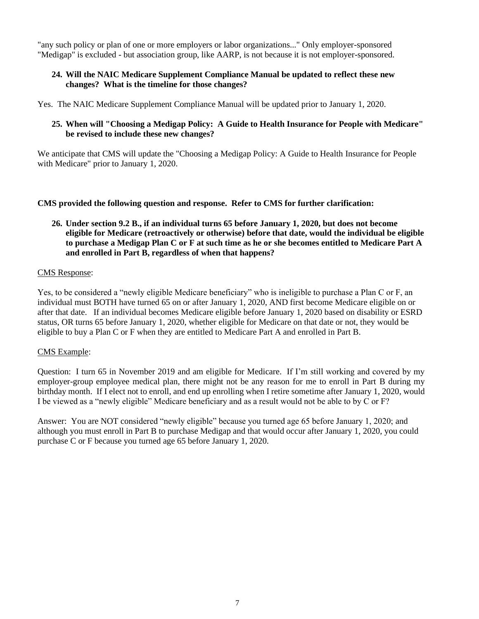"any such policy or plan of one or more employers or labor organizations..." Only employer-sponsored "Medigap" is excluded - but association group, like AARP, is not because it is not employer-sponsored.

#### **24. Will the NAIC Medicare Supplement Compliance Manual be updated to reflect these new changes? What is the timeline for those changes?**

Yes. The NAIC Medicare Supplement Compliance Manual will be updated prior to January 1, 2020.

#### **25. When will "Choosing a Medigap Policy: A Guide to Health Insurance for People with Medicare" be revised to include these new changes?**

We anticipate that CMS will update the "Choosing a Medigap Policy: A Guide to Health Insurance for People with Medicare" prior to January 1, 2020.

#### **CMS provided the following question and response. Refer to CMS for further clarification:**

#### **26. Under section 9.2 B., if an individual turns 65 before January 1, 2020, but does not become eligible for Medicare (retroactively or otherwise) before that date, would the individual be eligible to purchase a Medigap Plan C or F at such time as he or she becomes entitled to Medicare Part A and enrolled in Part B, regardless of when that happens?**

#### CMS Response:

Yes, to be considered a "newly eligible Medicare beneficiary" who is ineligible to purchase a Plan C or F, an individual must BOTH have turned 65 on or after January 1, 2020, AND first become Medicare eligible on or after that date. If an individual becomes Medicare eligible before January 1, 2020 based on disability or ESRD status, OR turns 65 before January 1, 2020, whether eligible for Medicare on that date or not, they would be eligible to buy a Plan C or F when they are entitled to Medicare Part A and enrolled in Part B.

#### CMS Example:

Question: I turn 65 in November 2019 and am eligible for Medicare. If I'm still working and covered by my employer-group employee medical plan, there might not be any reason for me to enroll in Part B during my birthday month. If I elect not to enroll, and end up enrolling when I retire sometime after January 1, 2020, would I be viewed as a "newly eligible" Medicare beneficiary and as a result would not be able to by C or F?

Answer: You are NOT considered "newly eligible" because you turned age 65 before January 1, 2020; and although you must enroll in Part B to purchase Medigap and that would occur after January 1, 2020, you could purchase C or F because you turned age 65 before January 1, 2020.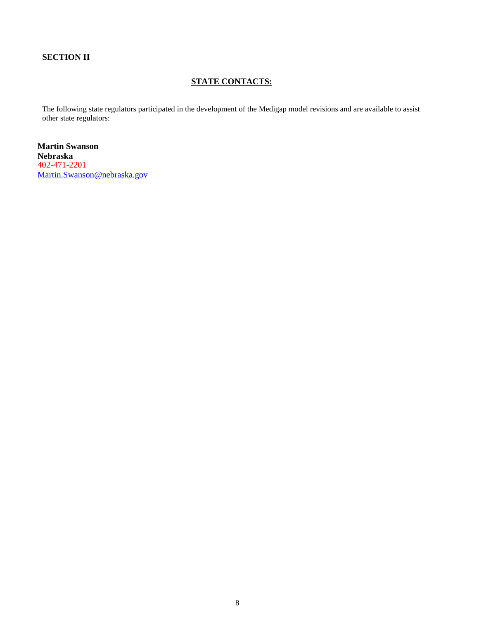## **SECTION II**

## **STATE CONTACTS:**

The following state regulators participated in the development of the Medigap model revisions and are available to assist other state regulators:

**Martin Swanson Nebraska** 402-471-2201 [Martin.Swanson@nebraska.gov](mailto:Martin.Swanson@nebraska.gov)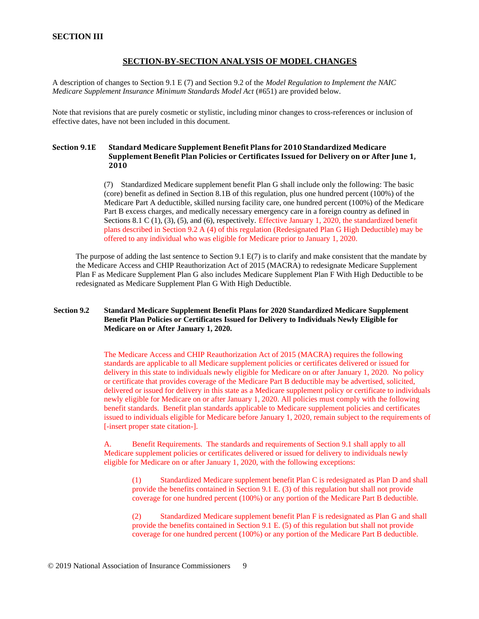#### **SECTION III**

#### **SECTION-BY-SECTION ANALYSIS OF MODEL CHANGES**

A description of changes to Section 9.1 E (7) and Section 9.2 of the *Model Regulation to Implement the NAIC Medicare Supplement Insurance Minimum Standards Model Act* (#651) are provided below.

Note that revisions that are purely cosmetic or stylistic, including minor changes to cross-references or inclusion of effective dates, have not been included in this document.

#### **Section 9.1E Standard Medicare Supplement Benefit Plans for 2010 Standardized Medicare Supplement Benefit Plan Policies or Certificates Issued for Delivery on or After June 1, 2010**

(7) Standardized Medicare supplement benefit Plan G shall include only the following: The basic (core) benefit as defined in Section 8.1B of this regulation, plus one hundred percent (100%) of the Medicare Part A deductible, skilled nursing facility care, one hundred percent (100%) of the Medicare Part B excess charges, and medically necessary emergency care in a foreign country as defined in Sections 8.1 C (1), (3), (5), and (6), respectively. Effective January 1, 2020, the standardized benefit plans described in Section 9.2 A (4) of this regulation (Redesignated Plan G High Deductible) may be offered to any individual who was eligible for Medicare prior to January 1, 2020.

The purpose of adding the last sentence to Section 9.1 E(7) is to clarify and make consistent that the mandate by the Medicare Access and CHIP Reauthorization Act of 2015 (MACRA) to redesignate Medicare Supplement Plan F as Medicare Supplement Plan G also includes Medicare Supplement Plan F With High Deductible to be redesignated as Medicare Supplement Plan G With High Deductible.

#### **Section 9.2 Standard Medicare Supplement Benefit Plans for 2020 Standardized Medicare Supplement Benefit Plan Policies or Certificates Issued for Delivery to Individuals Newly Eligible for Medicare on or After January 1, 2020.**

The Medicare Access and CHIP Reauthorization Act of 2015 (MACRA) requires the following standards are applicable to all Medicare supplement policies or certificates delivered or issued for delivery in this state to individuals newly eligible for Medicare on or after January 1, 2020. No policy or certificate that provides coverage of the Medicare Part B deductible may be advertised, solicited, delivered or issued for delivery in this state as a Medicare supplement policy or certificate to individuals newly eligible for Medicare on or after January 1, 2020. All policies must comply with the following benefit standards. Benefit plan standards applicable to Medicare supplement policies and certificates issued to individuals eligible for Medicare before January 1, 2020, remain subject to the requirements of [-insert proper state citation-].

A. Benefit Requirements. The standards and requirements of Section 9.1 shall apply to all Medicare supplement policies or certificates delivered or issued for delivery to individuals newly eligible for Medicare on or after January 1, 2020, with the following exceptions:

(1) Standardized Medicare supplement benefit Plan C is redesignated as Plan D and shall provide the benefits contained in Section 9.1 E. (3) of this regulation but shall not provide coverage for one hundred percent (100%) or any portion of the Medicare Part B deductible.

(2) Standardized Medicare supplement benefit Plan F is redesignated as Plan G and shall provide the benefits contained in Section 9.1 E. (5) of this regulation but shall not provide coverage for one hundred percent (100%) or any portion of the Medicare Part B deductible.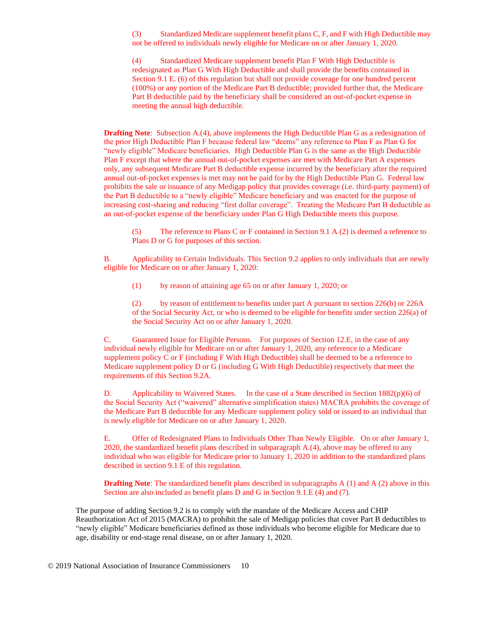(3) Standardized Medicare supplement benefit plans C, F, and F with High Deductible may not be offered to individuals newly eligible for Medicare on or after January 1, 2020.

(4) Standardized Medicare supplement benefit Plan F With High Deductible is redesignated as Plan G With High Deductible and shall provide the benefits contained in Section 9.1 E. (6) of this regulation but shall not provide coverage for one hundred percent (100%) or any portion of the Medicare Part B deductible; provided further that, the Medicare Part B deductible paid by the beneficiary shall be considered an out-of-pocket expense in meeting the annual high deductible.

**Drafting Note**: Subsection A.(4), above implements the High Deductible Plan G as a redesignation of the prior High Deductible Plan F because federal law "deems" any reference to Plan F as Plan G for "newly eligible" Medicare beneficiaries. High Deductible Plan G is the same as the High Deductible Plan F except that where the annual out-of-pocket expenses are met with Medicare Part A expenses only, any subsequent Medicare Part B deductible expense incurred by the beneficiary after the required annual out-of-pocket expenses is met may not be paid for by the High Deductible Plan G. Federal law prohibits the sale or issuance of any Medigap policy that provides coverage (i.e. third-party payment) of the Part B deductible to a "newly eligible" Medicare beneficiary and was enacted for the purpose of increasing cost-sharing and reducing "first dollar coverage". Treating the Medicare Part B deductible as an out-of-pocket expense of the beneficiary under Plan G High Deductible meets this purpose.

(5) The reference to Plans C or F contained in Section 9.1 A (2) is deemed a reference to Plans D or G for purposes of this section.

B. Applicability to Certain Individuals. This Section 9.2 applies to only individuals that are newly eligible for Medicare on or after January 1, 2020:

(1) by reason of attaining age 65 on or after January 1, 2020; or

(2) by reason of entitlement to benefits under part A pursuant to section 226(b) or 226A of the Social Security Act, or who is deemed to be eligible for benefits under section 226(a) of the Social Security Act on or after January 1, 2020.

C. Guaranteed Issue for Eligible Persons. For purposes of Section 12.E, in the case of any individual newly eligible for Medicare on or after January 1, 2020, any reference to a Medicare supplement policy C or F (including F With High Deductible) shall be deemed to be a reference to Medicare supplement policy D or G (including G With High Deductible) respectively that meet the requirements of this Section 9.2A.

D. Applicability to Waivered States. In the case of a State described in Section  $1882(p)(6)$  of the Social Security Act ("waivered" alternative simplification states) MACRA prohibits the coverage of the Medicare Part B deductible for any Medicare supplement policy sold or issued to an individual that is newly eligible for Medicare on or after January 1, 2020.

E. Offer of Redesignated Plans to Individuals Other Than Newly Eligible. On or after January 1, 2020, the standardized benefit plans described in subparagraph A.(4), above may be offered to any individual who was eligible for Medicare prior to January 1, 2020 in addition to the standardized plans described in section 9.1 E of this regulation.

**Drafting Note**: The standardized benefit plans described in subparagraphs A (1) and A (2) above in this Section are also included as benefit plans D and G in Section 9.1.E (4) and (7).

The purpose of adding Section 9.2 is to comply with the mandate of the Medicare Access and CHIP Reauthorization Act of 2015 (MACRA) to prohibit the sale of Medigap policies that cover Part B deductibles to "newly eligible" Medicare beneficiaries defined as those individuals who become eligible for Medicare due to age, disability or end-stage renal disease, on or after January 1, 2020.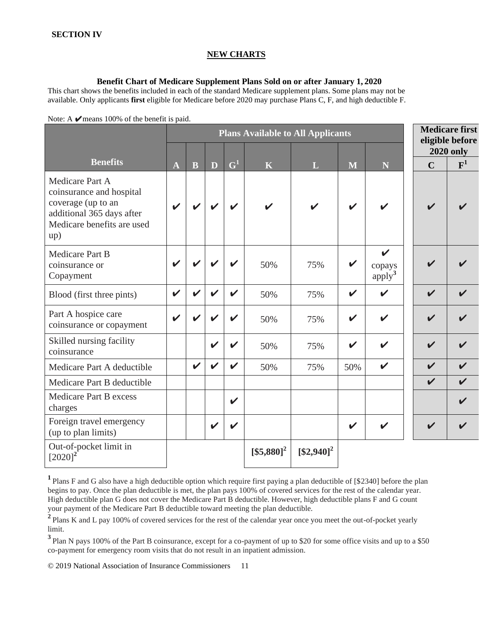## **NEW CHARTS**

## **Benefit Chart of Medicare Supplement Plans Sold on or after January 1, 2020**

This chart shows the benefits included in each of the standard Medicare supplement plans. Some plans may not be available. Only applicants **first** eligible for Medicare before 2020 may purchase Plans C, F, and high deductible F.

Note: A  $\blacktriangleright$  means 100% of the benefit is paid.

|                                                                                                                                     |                         | <b>Medicare first</b><br><b>Plans Available to All Applicants</b><br>eligible before |                    |                            |                         |                |                            |                                              |                            |                    |
|-------------------------------------------------------------------------------------------------------------------------------------|-------------------------|--------------------------------------------------------------------------------------|--------------------|----------------------------|-------------------------|----------------|----------------------------|----------------------------------------------|----------------------------|--------------------|
|                                                                                                                                     |                         |                                                                                      |                    |                            |                         |                |                            |                                              |                            | <b>2020 only</b>   |
| <b>Benefits</b>                                                                                                                     | $\overline{\mathbf{A}}$ | $\mathbf{B}$                                                                         | D                  | $G^1$                      | $\overline{\mathbf{K}}$ | L              | $\overline{\mathbf{M}}$    | N                                            | $\mathbf C$                | $\mathbf{F}^1$     |
| Medicare Part A<br>coinsurance and hospital<br>coverage (up to an<br>additional 365 days after<br>Medicare benefits are used<br>up) | V                       | ı                                                                                    | $\boldsymbol{\nu}$ | $\boldsymbol{\mathscr{L}}$ | V                       | ✓              | $\boldsymbol{\mathcal{U}}$ |                                              |                            |                    |
| <b>Medicare Part B</b><br>coinsurance or<br>Copayment                                                                               | V                       |                                                                                      |                    | V                          | 50%                     | 75%            |                            | $\checkmark$<br>copays<br>apply <sup>3</sup> |                            |                    |
| Blood (first three pints)                                                                                                           | $\checkmark$            |                                                                                      | V                  | $\checkmark$               | 50%                     | 75%            | V                          | $\boldsymbol{\nu}$                           | $\boldsymbol{\nu}$         |                    |
| Part A hospice care<br>coinsurance or copayment                                                                                     | V                       |                                                                                      |                    | ✔                          | 50%                     | 75%            | $\boldsymbol{\mathcal{U}}$ | ✓                                            | $\checkmark$               |                    |
| Skilled nursing facility<br>coinsurance                                                                                             |                         |                                                                                      | $\boldsymbol{\nu}$ | V                          | 50%                     | 75%            |                            | ✔                                            | $\checkmark$               |                    |
| Medicare Part A deductible                                                                                                          |                         | V                                                                                    | $\boldsymbol{\nu}$ | $\checkmark$               | 50%                     | 75%            | 50%                        | $\checkmark$                                 | $\checkmark$               | V                  |
| Medicare Part B deductible                                                                                                          |                         |                                                                                      |                    |                            |                         |                |                            |                                              | $\checkmark$               | $\boldsymbol{\nu}$ |
| <b>Medicare Part B excess</b><br>charges                                                                                            |                         |                                                                                      |                    | $\checkmark$               |                         |                |                            |                                              |                            |                    |
| Foreign travel emergency<br>(up to plan limits)                                                                                     |                         |                                                                                      | $\checkmark$       | $\checkmark$               |                         |                | V                          | ✔                                            | $\boldsymbol{\mathcal{U}}$ |                    |
| Out-of-pocket limit in<br>[2020] <sup>2</sup>                                                                                       |                         |                                                                                      |                    |                            | $[$5,880]^{2}$          | $[$2,940]^{2}$ |                            |                                              |                            |                    |

**<sup>1</sup>**Plans F and G also have a high deductible option which require first paying a plan deductible of [\$2340] before the plan begins to pay. Once the plan deductible is met, the plan pays 100% of covered services for the rest of the calendar year. High deductible plan G does not cover the Medicare Part B deductible. However, high deductible plans F and G count your payment of the Medicare Part B deductible toward meeting the plan deductible.

© 2019 National Association of Insurance Commissioners 11

<sup>&</sup>lt;sup>2</sup>Plans K and L pay 100% of covered services for the rest of the calendar year once you meet the out-of-pocket yearly limit.

**<sup>3</sup>**Plan N pays 100% of the Part B coinsurance, except for a co-payment of up to \$20 for some office visits and up to a \$50 co-payment for emergency room visits that do not result in an inpatient admission.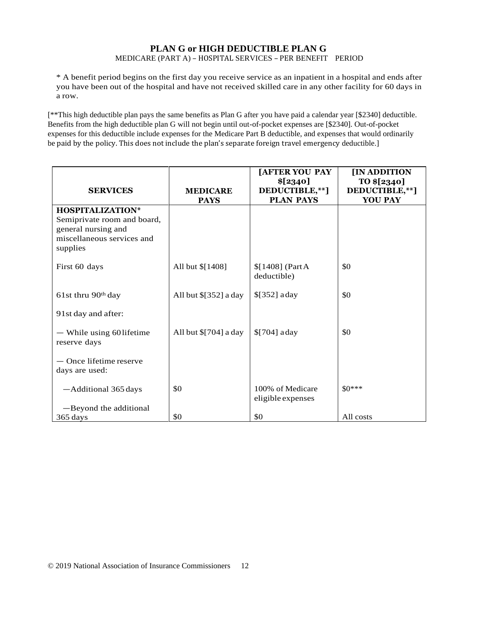#### **PLAN G or HIGH DEDUCTIBLE PLAN G** MEDICARE (PART A) – HOSPITAL SERVICES – PER BENEFIT PERIOD

\* A benefit period begins on the first day you receive service as an inpatient in a hospital and ends after you have been out of the hospital and have not received skilled care in any other facility for 60 days in a row.

[\*\*This high deductible plan pays the same benefits as Plan G after you have paid a calendar year [\$2340] deductible. Benefits from the high deductible plan G will not begin until out-of-pocket expenses are [\$2340]. Out-of-pocket expenses for this deductible include expenses for the Medicare Part B deductible, and expenses that would ordinarily be paid by the policy. This does not include the plan's separate foreign travel emergency deductible.]

|                                                    |                               | <b>[AFTER YOU PAY</b> | <b>[IN ADDITION</b> |
|----------------------------------------------------|-------------------------------|-----------------------|---------------------|
|                                                    |                               | \$[2340]              | TO \$[2340]         |
| <b>SERVICES</b>                                    | <b>MEDICARE</b>               | DEDUCTIBLE,**]        | DEDUCTIBLE,**]      |
|                                                    | <b>PAYS</b>                   | <b>PLAN PAYS</b>      | <b>YOU PAY</b>      |
| <b>HOSPITALIZATION*</b>                            |                               |                       |                     |
| Semiprivate room and board,<br>general nursing and |                               |                       |                     |
| miscellaneous services and                         |                               |                       |                     |
| supplies                                           |                               |                       |                     |
|                                                    |                               |                       |                     |
| First 60 days                                      | All but \$[1408]              | $[1408]$ (Part A      | \$0                 |
|                                                    |                               | deductible)           |                     |
|                                                    |                               |                       |                     |
| 61st thru 90 <sup>th</sup> day                     | All but $\S[352]$ a day       | $$[352]$ aday         | \$0                 |
|                                                    |                               |                       |                     |
| 91st day and after:                                |                               |                       |                     |
| $-$ While using 60 lifetime                        | All but $\frac{5}{704}$ a day | $$[704]$ aday         | \$0                 |
| reserve days                                       |                               |                       |                     |
|                                                    |                               |                       |                     |
| $-$ Once lifetime reserve                          |                               |                       |                     |
| days are used:                                     |                               |                       |                     |
|                                                    |                               |                       |                     |
| -Additional 365 days                               | \$0                           | 100% of Medicare      | $$0***$             |
|                                                    |                               | eligible expenses     |                     |
| -Beyond the additional                             | \$0                           | \$0                   | All costs           |
| 365 days                                           |                               |                       |                     |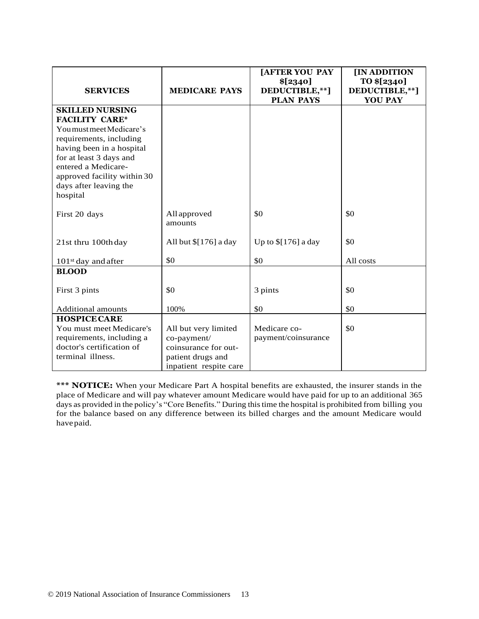| <b>SERVICES</b>                                                                                                                                                                                                                                            | <b>MEDICARE PAYS</b>                                                                                       | [AFTER YOU PAY<br>\$[2340]<br>DEDUCTIBLE,**]<br><b>PLAN PAYS</b> | <b>[IN ADDITION</b><br>TO \$[2340]<br>DEDUCTIBLE,**]<br><b>YOU PAY</b> |
|------------------------------------------------------------------------------------------------------------------------------------------------------------------------------------------------------------------------------------------------------------|------------------------------------------------------------------------------------------------------------|------------------------------------------------------------------|------------------------------------------------------------------------|
| <b>SKILLED NURSING</b><br><b>FACILITY CARE*</b><br>You must meet Medicare's<br>requirements, including<br>having been in a hospital<br>for at least 3 days and<br>entered a Medicare-<br>approved facility within 30<br>days after leaving the<br>hospital |                                                                                                            |                                                                  |                                                                        |
| First 20 days                                                                                                                                                                                                                                              | All approved<br>amounts                                                                                    | \$0                                                              | \$0                                                                    |
| 21st thru 100th day                                                                                                                                                                                                                                        | All but $\frac{176}{a}$ a day                                                                              | Up to $$[176]$ a day                                             | \$0                                                                    |
| 101 <sup>st</sup> day and after                                                                                                                                                                                                                            | \$0                                                                                                        | \$0                                                              | All costs                                                              |
| <b>BLOOD</b>                                                                                                                                                                                                                                               |                                                                                                            |                                                                  |                                                                        |
| First 3 pints                                                                                                                                                                                                                                              | \$0                                                                                                        | 3 pints                                                          | \$0                                                                    |
| <b>Additional amounts</b>                                                                                                                                                                                                                                  | 100%                                                                                                       | \$0                                                              | \$0                                                                    |
| <b>HOSPICE CARE</b>                                                                                                                                                                                                                                        |                                                                                                            |                                                                  |                                                                        |
| You must meet Medicare's<br>requirements, including a<br>doctor's certification of<br>terminal illness.                                                                                                                                                    | All but very limited<br>co-payment/<br>coinsurance for out-<br>patient drugs and<br>inpatient respite care | Medicare co-<br>payment/coinsurance                              | \$0                                                                    |

**\*\*\* NOTICE:** When your Medicare Part A hospital benefits are exhausted, the insurer stands in the place of Medicare and will pay whatever amount Medicare would have paid for up to an additional 365 days as provided in the policy's "Core Benefits." During this time the hospital is prohibited from billing you for the balance based on any difference between its billed charges and the amount Medicare would havepaid.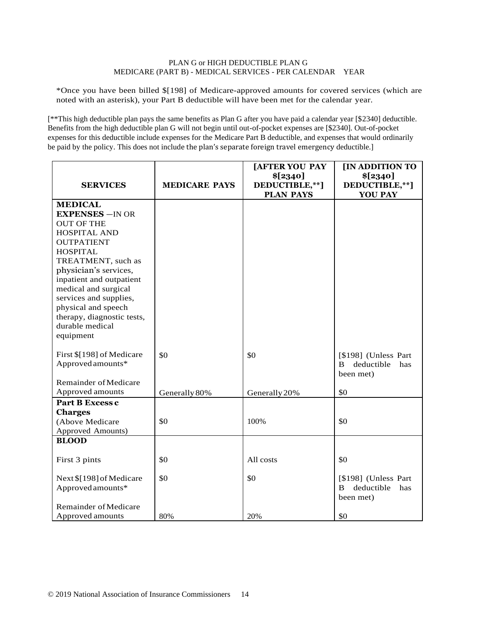#### PLAN G or HIGH DEDUCTIBLE PLAN G MEDICARE (PART B) - MEDICAL SERVICES - PER CALENDAR YEAR

\*Once you have been billed \$[198] of Medicare-approved amounts for covered services (which are noted with an asterisk), your Part B deductible will have been met for the calendar year.

[\*\*This high deductible plan pays the same benefits as Plan G after you have paid a calendar year [\$2340] deductible. Benefits from the high deductible plan G will not begin until out-of-pocket expenses are [\$2340]. Out-of-pocket expenses for this deductible include expenses for the Medicare Part B deductible, and expenses that would ordinarily be paid by the policy. This does not include the plan's separate foreign travel emergency deductible.]

|                            |                      | [AFTER YOU PAY                     | <b>[IN ADDITION TO</b>                         |
|----------------------------|----------------------|------------------------------------|------------------------------------------------|
|                            |                      | \$[2340]                           | \$[2340]                                       |
| <b>SERVICES</b>            | <b>MEDICARE PAYS</b> | DEDUCTIBLE,**]<br><b>PLAN PAYS</b> | DEDUCTIBLE,**]<br><b>YOU PAY</b>               |
| <b>MEDICAL</b>             |                      |                                    |                                                |
| <b>EXPENSES - IN OR</b>    |                      |                                    |                                                |
| <b>OUT OF THE</b>          |                      |                                    |                                                |
| <b>HOSPITAL AND</b>        |                      |                                    |                                                |
| <b>OUTPATIENT</b>          |                      |                                    |                                                |
| <b>HOSPITAL</b>            |                      |                                    |                                                |
| TREATMENT, such as         |                      |                                    |                                                |
| physician's services,      |                      |                                    |                                                |
| inpatient and outpatient   |                      |                                    |                                                |
| medical and surgical       |                      |                                    |                                                |
| services and supplies,     |                      |                                    |                                                |
| physical and speech        |                      |                                    |                                                |
| therapy, diagnostic tests, |                      |                                    |                                                |
| durable medical            |                      |                                    |                                                |
| equipment                  |                      |                                    |                                                |
|                            |                      |                                    |                                                |
| First \$[198] of Medicare  | \$0                  | \$0                                | [\$198] (Unless Part                           |
| Approved amounts*          |                      |                                    | deductible<br><sub>B</sub><br>has<br>been met) |
| Remainder of Medicare      |                      |                                    |                                                |
| Approved amounts           | Generally 80%        | Generally 20%                      | \$0                                            |
| <b>Part B Excess c</b>     |                      |                                    |                                                |
| <b>Charges</b>             |                      |                                    |                                                |
| (Above Medicare            | \$0                  | 100%                               | \$0                                            |
| Approved Amounts)          |                      |                                    |                                                |
| <b>BLOOD</b>               |                      |                                    |                                                |
| First 3 pints              | \$0                  | All costs                          | \$0                                            |
|                            |                      |                                    |                                                |
| Next \$[198] of Medicare   | \$0                  | \$0                                | [\$198] (Unless Part                           |
| Approved amounts*          |                      |                                    | <sub>B</sub><br>deductible<br>has              |
|                            |                      |                                    | been met)                                      |
| Remainder of Medicare      |                      |                                    |                                                |
| Approved amounts           | 80%                  | 20%                                | \$0                                            |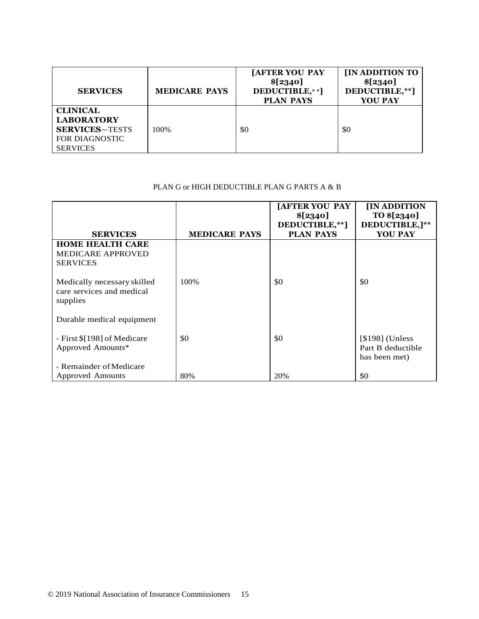| <b>SERVICES</b>                                                                                    | <b>MEDICARE PAYS</b> | <b>[AFTER YOU PAY</b><br>\$[2340]<br>DEDUCTIBLE,**]<br><b>PLAN PAYS</b> | <b>[IN ADDITION TO</b><br>\$[2340]<br>DEDUCTIBLE,**]<br><b>YOU PAY</b> |
|----------------------------------------------------------------------------------------------------|----------------------|-------------------------------------------------------------------------|------------------------------------------------------------------------|
| <b>CLINICAL</b><br><b>LABORATORY</b><br><b>SERVICES-TESTS</b><br>FOR DIAGNOSTIC<br><b>SERVICES</b> | 100%                 | \$0                                                                     | \$0                                                                    |

#### PLAN G or HIGH DEDUCTIBLE PLAN G PARTS A & B

| <b>SERVICES</b>                                                      | <b>MEDICARE PAYS</b> | [AFTER YOU PAY<br>\$[2340]<br>DEDUCTIBLE,**]<br><b>PLAN PAYS</b> | <b>[IN ADDITION</b><br>TO \$[2340]<br>DEDUCTIBLE, ]**<br><b>YOU PAY</b> |
|----------------------------------------------------------------------|----------------------|------------------------------------------------------------------|-------------------------------------------------------------------------|
| <b>HOME HEALTH CARE</b>                                              |                      |                                                                  |                                                                         |
| <b>MEDICARE APPROVED</b><br><b>SERVICES</b>                          |                      |                                                                  |                                                                         |
| Medically necessary skilled<br>care services and medical<br>supplies | 100%                 | \$0                                                              | \$0                                                                     |
| Durable medical equipment                                            |                      |                                                                  |                                                                         |
| - First \$[198] of Medicare                                          | \$0                  | \$0                                                              | $[$198]$ (Unless                                                        |
| Approved Amounts*                                                    |                      |                                                                  | Part B deductible                                                       |
| - Remainder of Medicare                                              |                      |                                                                  | has been met)                                                           |
| Approved Amounts                                                     | 80%                  | 20%                                                              | \$0                                                                     |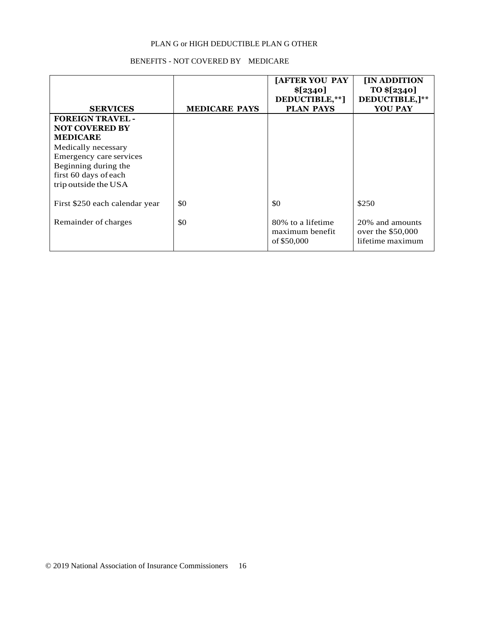#### PLAN G or HIGH DEDUCTIBLE PLAN G OTHER

|                                                  |                      | [AFTER YOU PAY<br>\$[2340]<br>DEDUCTIBLE,**] | [IN ADDITION<br>TO \$[2340]<br>DEDUCTIBLE, ]** |
|--------------------------------------------------|----------------------|----------------------------------------------|------------------------------------------------|
| <b>SERVICES</b>                                  | <b>MEDICARE PAYS</b> | <b>PLAN PAYS</b>                             | <b>YOU PAY</b>                                 |
| <b>FOREIGN TRAVEL -</b><br><b>NOT COVERED BY</b> |                      |                                              |                                                |
| <b>MEDICARE</b>                                  |                      |                                              |                                                |
| Medically necessary                              |                      |                                              |                                                |
| Emergency care services                          |                      |                                              |                                                |
| Beginning during the                             |                      |                                              |                                                |
| first 60 days of each                            |                      |                                              |                                                |
| trip outside the USA                             |                      |                                              |                                                |
| First \$250 each calendar year                   | \$0                  | \$0                                          | \$250                                          |
| Remainder of charges                             | \$0                  | 80% to a lifetime                            | 20% and amounts                                |
|                                                  |                      | maximum benefit                              | over the $$50,000$                             |
|                                                  |                      | of \$50,000                                  | lifetime maximum                               |

#### BENEFITS - NOT COVERED BY MEDICARE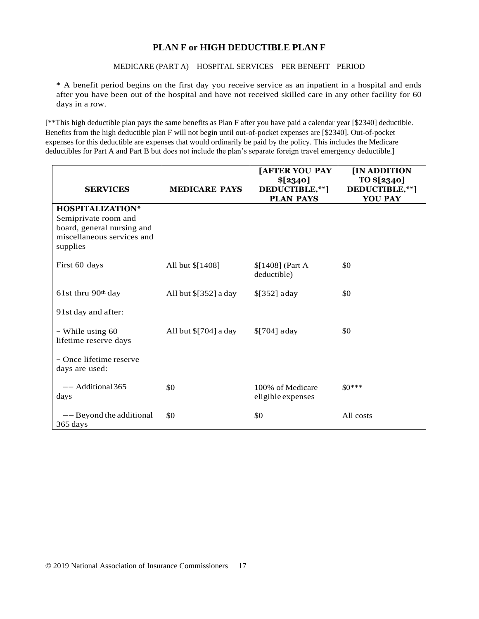#### MEDICARE (PART A) – HOSPITAL SERVICES – PER BENEFIT PERIOD

\* A benefit period begins on the first day you receive service as an inpatient in a hospital and ends after you have been out of the hospital and have not received skilled care in any other facility for 60 days in a row.

[\*\*This high deductible plan pays the same benefits as Plan F after you have paid a calendar year [\$2340] deductible. Benefits from the high deductible plan F will not begin until out-of-pocket expenses are [\$2340]. Out-of-pocket expenses for this deductible are expenses that would ordinarily be paid by the policy. This includes the Medicare deductibles for Part A and Part B but does not include the plan's separate foreign travel emergency deductible.]

|                            |                       | [AFTER YOU PAY    | <b>[IN ADDITION</b> |
|----------------------------|-----------------------|-------------------|---------------------|
|                            |                       | \$[2340]          | TO \$[2340]         |
| <b>SERVICES</b>            | <b>MEDICARE PAYS</b>  | DEDUCTIBLE,**]    | DEDUCTIBLE,**]      |
|                            |                       | <b>PLAN PAYS</b>  | <b>YOU PAY</b>      |
| <b>HOSPITALIZATION*</b>    |                       |                   |                     |
| Semiprivate room and       |                       |                   |                     |
| board, general nursing and |                       |                   |                     |
| miscellaneous services and |                       |                   |                     |
| supplies                   |                       |                   |                     |
|                            |                       |                   |                     |
| First 60 days              | All but \$[1408]      | \$[1408] (Part A  | \$0                 |
|                            |                       | deductible)       |                     |
|                            |                       |                   |                     |
| 61st thru 90th day         | All but \$[352] a day | \$[352] aday      | \$0                 |
|                            |                       |                   |                     |
| 91st day and after:        |                       |                   |                     |
| - While using 60           | All but \$[704] a day | \$[704] aday      | \$0                 |
| lifetime reserve days      |                       |                   |                     |
|                            |                       |                   |                     |
| - Once lifetime reserve    |                       |                   |                     |
| days are used:             |                       |                   |                     |
|                            |                       |                   |                     |
| $--$ Additional 365        | \$0                   | 100% of Medicare  | $$0***$             |
| days                       |                       | eligible expenses |                     |
|                            |                       |                   |                     |
| --Beyond the additional    | \$0                   | \$0               | All costs           |
| 365 days                   |                       |                   |                     |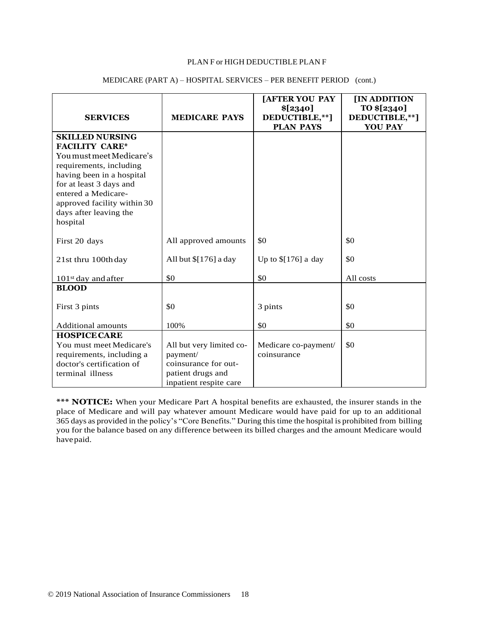#### MEDICARE (PART A) – HOSPITAL SERVICES – PER BENEFIT PERIOD (cont.)

|                                                                                                                                                                                                                                                            |                                                                                   | [AFTER YOU PAY<br>\$[2340]          | <b>IN ADDITION</b><br>TO \$[2340] |
|------------------------------------------------------------------------------------------------------------------------------------------------------------------------------------------------------------------------------------------------------------|-----------------------------------------------------------------------------------|-------------------------------------|-----------------------------------|
| <b>SERVICES</b>                                                                                                                                                                                                                                            | <b>MEDICARE PAYS</b>                                                              | DEDUCTIBLE,**]<br><b>PLAN PAYS</b>  | DEDUCTIBLE,**]<br><b>YOU PAY</b>  |
| <b>SKILLED NURSING</b><br><b>FACILITY CARE*</b><br>You must meet Medicare's<br>requirements, including<br>having been in a hospital<br>for at least 3 days and<br>entered a Medicare-<br>approved facility within 30<br>days after leaving the<br>hospital |                                                                                   |                                     |                                   |
| First 20 days                                                                                                                                                                                                                                              | All approved amounts                                                              | \$0                                 | \$0                               |
| 21st thru 100th day                                                                                                                                                                                                                                        | All but $\frac{176}{a}$ a day                                                     | Up to $[176]$ a day                 | \$0                               |
| $101st$ day and after                                                                                                                                                                                                                                      | \$0                                                                               | \$0                                 | All costs                         |
| <b>BLOOD</b>                                                                                                                                                                                                                                               |                                                                                   |                                     |                                   |
| First 3 pints                                                                                                                                                                                                                                              | \$0                                                                               | 3 pints                             | \$0                               |
| <b>Additional amounts</b>                                                                                                                                                                                                                                  | 100%                                                                              | \$0                                 | \$0                               |
| <b>HOSPICE CARE</b>                                                                                                                                                                                                                                        |                                                                                   |                                     |                                   |
| You must meet Medicare's<br>requirements, including a<br>doctor's certification of<br>terminal illness                                                                                                                                                     | All but very limited co-<br>payment/<br>coinsurance for out-<br>patient drugs and | Medicare co-payment/<br>coinsurance | \$0                               |
|                                                                                                                                                                                                                                                            | inpatient respite care                                                            |                                     |                                   |

**\*\*\* NOTICE:** When your Medicare Part A hospital benefits are exhausted, the insurer stands in the place of Medicare and will pay whatever amount Medicare would have paid for up to an additional 365 days as provided in the policy's "Core Benefits." During thistime the hospital is prohibited from billing you for the balance based on any difference between its billed charges and the amount Medicare would havepaid.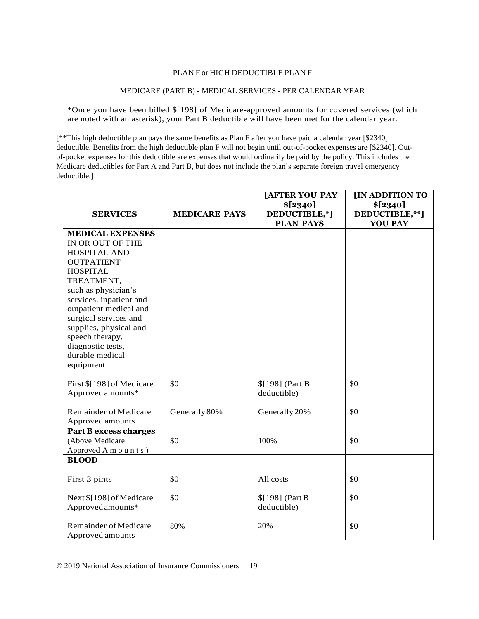#### MEDICARE (PART B) - MEDICAL SERVICES - PER CALENDAR YEAR

\*Once you have been billed \$[198] of Medicare-approved amounts for covered services (which are noted with an asterisk), your Part B deductible will have been met for the calendar year.

[\*\*This high deductible plan pays the same benefits as Plan F after you have paid a calendar year [\$2340] deductible. Benefits from the high deductible plan F will not begin until out-of-pocket expenses are [\$2340]. Outof-pocket expenses for this deductible are expenses that would ordinarily be paid by the policy. This includes the Medicare deductibles for Part A and Part B, but does not include the plan's separate foreign travel emergency deductible.]

| \$[2340]<br>\$[2340]<br>DEDUCTIBLE,*]<br>DEDUCTIBLE,**]<br><b>SERVICES</b><br><b>MEDICARE PAYS</b><br><b>PLAN PAYS</b><br><b>YOU PAY</b><br><b>MEDICAL EXPENSES</b><br>IN OR OUT OF THE<br><b>HOSPITAL AND</b><br><b>OUTPATIENT</b><br><b>HOSPITAL</b><br>TREATMENT,<br>such as physician's<br>services, inpatient and<br>outpatient medical and<br>surgical services and<br>supplies, physical and<br>speech therapy,<br>diagnostic tests,<br>durable medical<br>equipment<br>\$0<br>First \$[198] of Medicare<br>\$0<br>\$[198] (Part B<br>Approved amounts*<br>deductible)<br>Remainder of Medicare<br>\$0<br>Generally 80%<br>Generally 20%<br>Approved amounts<br>Part B excess charges<br>(Above Medicare<br>\$0<br>\$0<br>100%<br>Approved A m o u n t s)<br><b>BLOOD</b><br>\$0<br>\$0<br>All costs<br>First 3 pints<br>Next \$[198] of Medicare<br>\$0<br>\$[198] (Part B<br>\$0<br>Approved amounts*<br>deductible)<br>Remainder of Medicare<br>20%<br>80%<br>\$0 |  | <b>[AFTER YOU PAY</b> | <b>[IN ADDITION TO</b> |
|-----------------------------------------------------------------------------------------------------------------------------------------------------------------------------------------------------------------------------------------------------------------------------------------------------------------------------------------------------------------------------------------------------------------------------------------------------------------------------------------------------------------------------------------------------------------------------------------------------------------------------------------------------------------------------------------------------------------------------------------------------------------------------------------------------------------------------------------------------------------------------------------------------------------------------------------------------------------------------|--|-----------------------|------------------------|
|                                                                                                                                                                                                                                                                                                                                                                                                                                                                                                                                                                                                                                                                                                                                                                                                                                                                                                                                                                             |  |                       |                        |
|                                                                                                                                                                                                                                                                                                                                                                                                                                                                                                                                                                                                                                                                                                                                                                                                                                                                                                                                                                             |  |                       |                        |
|                                                                                                                                                                                                                                                                                                                                                                                                                                                                                                                                                                                                                                                                                                                                                                                                                                                                                                                                                                             |  |                       |                        |
|                                                                                                                                                                                                                                                                                                                                                                                                                                                                                                                                                                                                                                                                                                                                                                                                                                                                                                                                                                             |  |                       |                        |
|                                                                                                                                                                                                                                                                                                                                                                                                                                                                                                                                                                                                                                                                                                                                                                                                                                                                                                                                                                             |  |                       |                        |
|                                                                                                                                                                                                                                                                                                                                                                                                                                                                                                                                                                                                                                                                                                                                                                                                                                                                                                                                                                             |  |                       |                        |
|                                                                                                                                                                                                                                                                                                                                                                                                                                                                                                                                                                                                                                                                                                                                                                                                                                                                                                                                                                             |  |                       |                        |
|                                                                                                                                                                                                                                                                                                                                                                                                                                                                                                                                                                                                                                                                                                                                                                                                                                                                                                                                                                             |  |                       |                        |
|                                                                                                                                                                                                                                                                                                                                                                                                                                                                                                                                                                                                                                                                                                                                                                                                                                                                                                                                                                             |  |                       |                        |
|                                                                                                                                                                                                                                                                                                                                                                                                                                                                                                                                                                                                                                                                                                                                                                                                                                                                                                                                                                             |  |                       |                        |
|                                                                                                                                                                                                                                                                                                                                                                                                                                                                                                                                                                                                                                                                                                                                                                                                                                                                                                                                                                             |  |                       |                        |
|                                                                                                                                                                                                                                                                                                                                                                                                                                                                                                                                                                                                                                                                                                                                                                                                                                                                                                                                                                             |  |                       |                        |
|                                                                                                                                                                                                                                                                                                                                                                                                                                                                                                                                                                                                                                                                                                                                                                                                                                                                                                                                                                             |  |                       |                        |
|                                                                                                                                                                                                                                                                                                                                                                                                                                                                                                                                                                                                                                                                                                                                                                                                                                                                                                                                                                             |  |                       |                        |
|                                                                                                                                                                                                                                                                                                                                                                                                                                                                                                                                                                                                                                                                                                                                                                                                                                                                                                                                                                             |  |                       |                        |
|                                                                                                                                                                                                                                                                                                                                                                                                                                                                                                                                                                                                                                                                                                                                                                                                                                                                                                                                                                             |  |                       |                        |
|                                                                                                                                                                                                                                                                                                                                                                                                                                                                                                                                                                                                                                                                                                                                                                                                                                                                                                                                                                             |  |                       |                        |
|                                                                                                                                                                                                                                                                                                                                                                                                                                                                                                                                                                                                                                                                                                                                                                                                                                                                                                                                                                             |  |                       |                        |
|                                                                                                                                                                                                                                                                                                                                                                                                                                                                                                                                                                                                                                                                                                                                                                                                                                                                                                                                                                             |  |                       |                        |
|                                                                                                                                                                                                                                                                                                                                                                                                                                                                                                                                                                                                                                                                                                                                                                                                                                                                                                                                                                             |  |                       |                        |
|                                                                                                                                                                                                                                                                                                                                                                                                                                                                                                                                                                                                                                                                                                                                                                                                                                                                                                                                                                             |  |                       |                        |
|                                                                                                                                                                                                                                                                                                                                                                                                                                                                                                                                                                                                                                                                                                                                                                                                                                                                                                                                                                             |  |                       |                        |
|                                                                                                                                                                                                                                                                                                                                                                                                                                                                                                                                                                                                                                                                                                                                                                                                                                                                                                                                                                             |  |                       |                        |
|                                                                                                                                                                                                                                                                                                                                                                                                                                                                                                                                                                                                                                                                                                                                                                                                                                                                                                                                                                             |  |                       |                        |
|                                                                                                                                                                                                                                                                                                                                                                                                                                                                                                                                                                                                                                                                                                                                                                                                                                                                                                                                                                             |  |                       |                        |
|                                                                                                                                                                                                                                                                                                                                                                                                                                                                                                                                                                                                                                                                                                                                                                                                                                                                                                                                                                             |  |                       |                        |
|                                                                                                                                                                                                                                                                                                                                                                                                                                                                                                                                                                                                                                                                                                                                                                                                                                                                                                                                                                             |  |                       |                        |
|                                                                                                                                                                                                                                                                                                                                                                                                                                                                                                                                                                                                                                                                                                                                                                                                                                                                                                                                                                             |  |                       |                        |
|                                                                                                                                                                                                                                                                                                                                                                                                                                                                                                                                                                                                                                                                                                                                                                                                                                                                                                                                                                             |  |                       |                        |
|                                                                                                                                                                                                                                                                                                                                                                                                                                                                                                                                                                                                                                                                                                                                                                                                                                                                                                                                                                             |  |                       |                        |
|                                                                                                                                                                                                                                                                                                                                                                                                                                                                                                                                                                                                                                                                                                                                                                                                                                                                                                                                                                             |  |                       |                        |
|                                                                                                                                                                                                                                                                                                                                                                                                                                                                                                                                                                                                                                                                                                                                                                                                                                                                                                                                                                             |  |                       |                        |
|                                                                                                                                                                                                                                                                                                                                                                                                                                                                                                                                                                                                                                                                                                                                                                                                                                                                                                                                                                             |  |                       |                        |
|                                                                                                                                                                                                                                                                                                                                                                                                                                                                                                                                                                                                                                                                                                                                                                                                                                                                                                                                                                             |  |                       |                        |
| Approved amounts                                                                                                                                                                                                                                                                                                                                                                                                                                                                                                                                                                                                                                                                                                                                                                                                                                                                                                                                                            |  |                       |                        |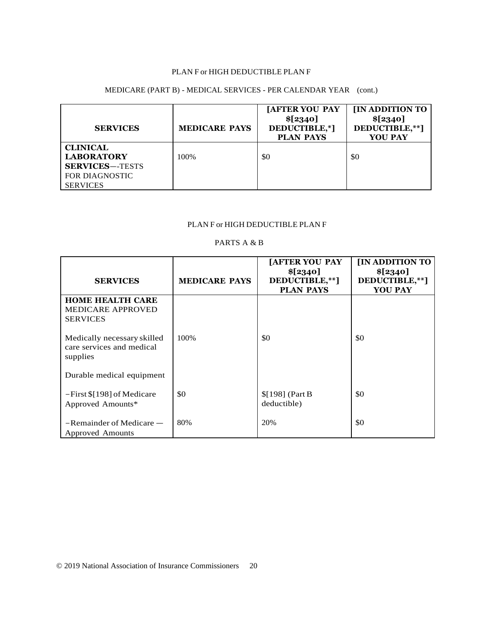#### MEDICARE (PART B) - MEDICAL SERVICES - PER CALENDAR YEAR (cont.)

| <b>SERVICES</b>                      | <b>MEDICARE PAYS</b> | <b>[AFTER YOU PAY</b><br>\$[2340]<br>DEDUCTIBLE,*]<br><b>PLAN PAYS</b> | <b>[IN ADDITION TO</b><br>\$[2340]<br>DEDUCTIBLE,**]<br><b>YOU PAY</b> |
|--------------------------------------|----------------------|------------------------------------------------------------------------|------------------------------------------------------------------------|
| <b>CLINICAL</b><br><b>LABORATORY</b> | 100%                 | \$0                                                                    | \$0                                                                    |
| <b>SERVICES-TESTS</b>                |                      |                                                                        |                                                                        |
| <b>FOR DIAGNOSTIC</b>                |                      |                                                                        |                                                                        |
| <b>SERVICES</b>                      |                      |                                                                        |                                                                        |

#### PLAN F or HIGH DEDUCTIBLE PLAN F

## PARTS A & B

| <b>SERVICES</b>                                                        | <b>MEDICARE PAYS</b> | [AFTER YOU PAY<br>\$[2340]<br>DEDUCTIBLE,**]<br><b>PLAN PAYS</b> | <b>[IN ADDITION TO</b><br>\$[2340]<br>DEDUCTIBLE,**]<br><b>YOU PAY</b> |
|------------------------------------------------------------------------|----------------------|------------------------------------------------------------------|------------------------------------------------------------------------|
| <b>HOME HEALTH CARE</b><br><b>MEDICARE APPROVED</b><br><b>SERVICES</b> |                      |                                                                  |                                                                        |
| Medically necessary skilled<br>care services and medical<br>supplies   | 100\%                | \$0                                                              | \$0                                                                    |
| Durable medical equipment                                              |                      |                                                                  |                                                                        |
| -First \$[198] of Medicare<br>Approved Amounts*                        | \$0                  | $\left[198\right]$ (Part B)<br>deductible)                       | \$0                                                                    |
| $-$ Remainder of Medicare $-$<br>Approved Amounts                      | 80%                  | 20%                                                              | \$0                                                                    |